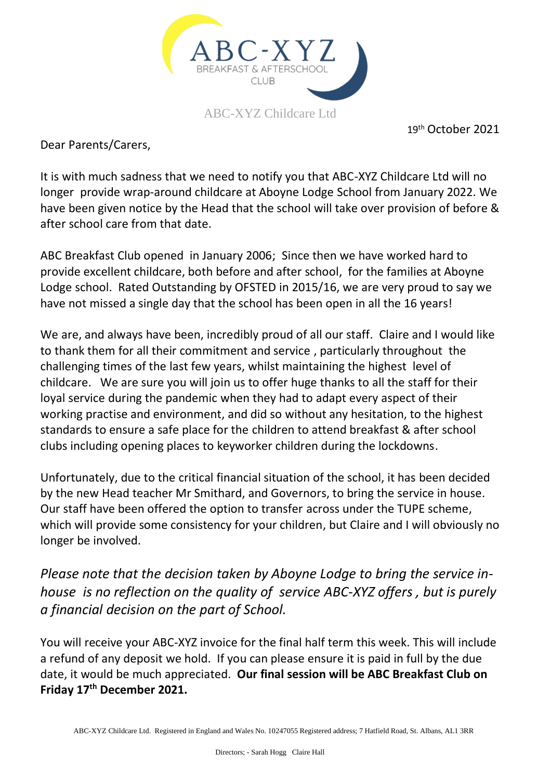

19 th October 2021

Dear Parents/Carers,

It is with much sadness that we need to notify you that ABC-XYZ Childcare Ltd will no longer provide wrap-around childcare at Aboyne Lodge School from January 2022. We have been given notice by the Head that the school will take over provision of before & after school care from that date.

ABC Breakfast Club opened in January 2006; Since then we have worked hard to provide excellent childcare, both before and after school, for the families at Aboyne Lodge school. Rated Outstanding by OFSTED in 2015/16, we are very proud to say we have not missed a single day that the school has been open in all the 16 years!

We are, and always have been, incredibly proud of all our staff. Claire and I would like to thank them for all their commitment and service , particularly throughout the challenging times of the last few years, whilst maintaining the highest level of childcare. We are sure you will join us to offer huge thanks to all the staff for their loyal service during the pandemic when they had to adapt every aspect of their working practise and environment, and did so without any hesitation, to the highest standards to ensure a safe place for the children to attend breakfast & after school clubs including opening places to keyworker children during the lockdowns.

Unfortunately, due to the critical financial situation of the school, it has been decided by the new Head teacher Mr Smithard, and Governors, to bring the service in house. Our staff have been offered the option to transfer across under the TUPE scheme, which will provide some consistency for your children, but Claire and I will obviously no longer be involved.

*Please note that the decision taken by Aboyne Lodge to bring the service inhouse is no reflection on the quality of service ABC-XYZ offers , but is purely a financial decision on the part of School.* 

You will receive your ABC-XYZ invoice for the final half term this week. This will include a refund of any deposit we hold. If you can please ensure it is paid in full by the due date, it would be much appreciated. **Our final session will be ABC Breakfast Club on Friday 17th December 2021.**